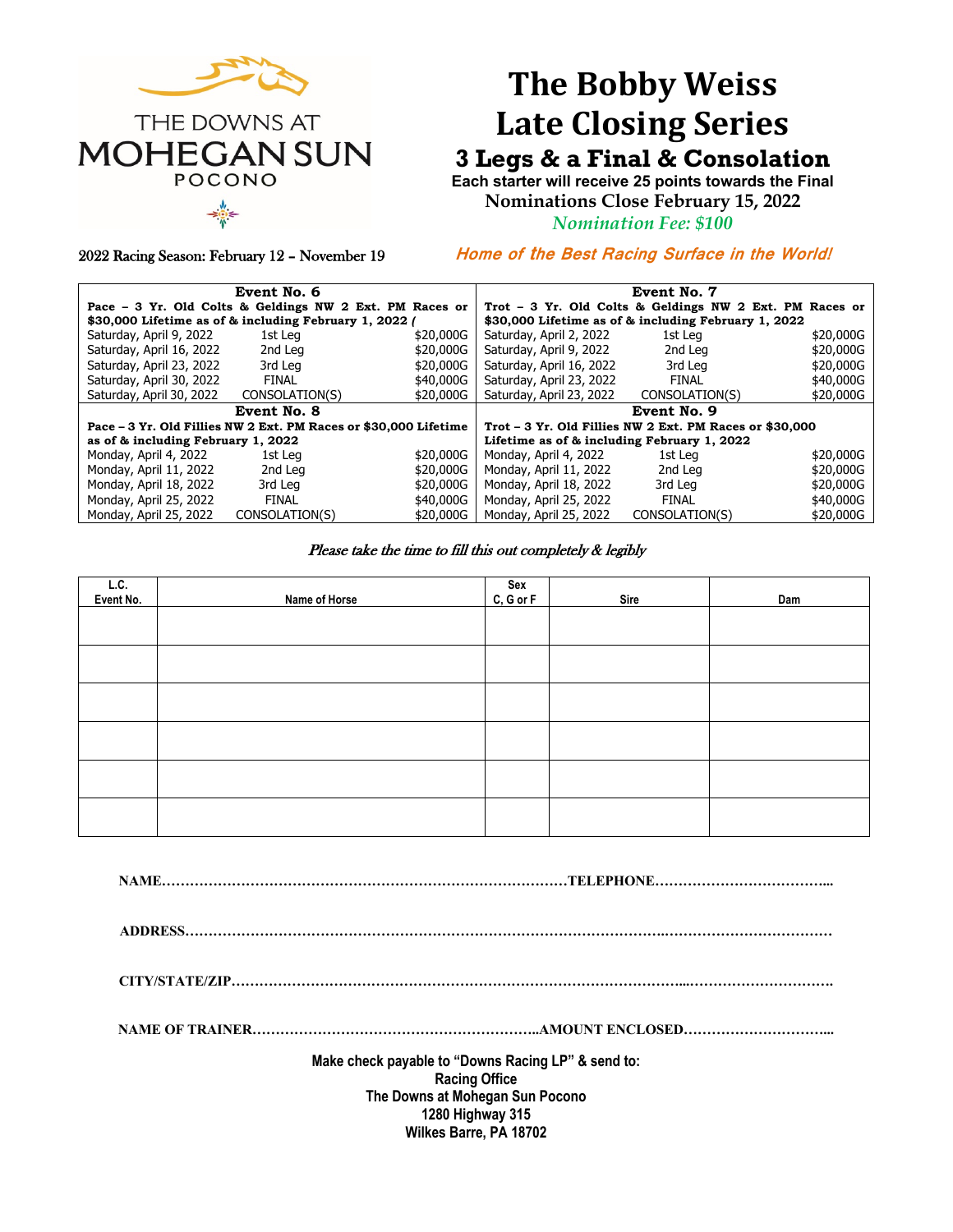

# **The Bobby Weiss Late Closing Series**

## **3 Legs & a Final & Consolation**

**Each starter will receive 25 points towards the Final Nominations Close February 15, 2022**

*Nomination Fee: \$100*

2022 Racing Season: February 12 – November 19

**Home of the Best Racing Surface in the World!** 

|                                                                  | Event No. 6    |           | Event No. 7                                             |                |           |  |
|------------------------------------------------------------------|----------------|-----------|---------------------------------------------------------|----------------|-----------|--|
| Pace - 3 Yr. Old Colts & Geldings NW 2 Ext. PM Races or          |                |           | Trot - 3 Yr. Old Colts & Geldings NW 2 Ext. PM Races or |                |           |  |
| \$30,000 Lifetime as of & including February 1, 2022 /           |                |           | \$30,000 Lifetime as of & including February 1, 2022    |                |           |  |
| Saturday, April 9, 2022                                          | 1st Leg        | \$20,000G | Saturday, April 2, 2022                                 | 1st Leg        | \$20,000G |  |
| Saturday, April 16, 2022                                         | 2nd Leg        | \$20,000G | Saturday, April 9, 2022                                 | 2nd Leg        | \$20,000G |  |
| Saturday, April 23, 2022                                         | 3rd Leg        | \$20,000G | Saturday, April 16, 2022                                | 3rd Leg        | \$20,000G |  |
| Saturday, April 30, 2022                                         | FINAL          | \$40,000G | Saturday, April 23, 2022                                | <b>FINAL</b>   | \$40,000G |  |
| Saturday, April 30, 2022                                         | CONSOLATION(S) | \$20,000G | Saturday, April 23, 2022                                | CONSOLATION(S) | \$20,000G |  |
| Event No. 8                                                      |                |           | Event No. 9                                             |                |           |  |
| Pace – 3 Yr. Old Fillies NW 2 Ext. PM Races or \$30,000 Lifetime |                |           | Trot - 3 Yr. Old Fillies NW 2 Ext. PM Races or \$30,000 |                |           |  |
| as of & including February 1, 2022                               |                |           | Lifetime as of & including February 1, 2022             |                |           |  |
| Monday, April 4, 2022                                            | 1st Leg        | \$20,000G | Monday, April 4, 2022                                   | 1st Leg        | \$20,000G |  |
| Monday, April 11, 2022                                           | 2nd Leg        | \$20,000G | Monday, April 11, 2022                                  | 2nd Leg        | \$20,000G |  |
| Monday, April 18, 2022                                           | 3rd Leg        | \$20,000G | Monday, April 18, 2022                                  | 3rd Leg        | \$20,000G |  |
| Monday, April 25, 2022                                           | <b>FINAL</b>   | \$40,000G | Monday, April 25, 2022                                  | <b>FINAL</b>   | \$40,000G |  |
| Monday, April 25, 2022                                           | CONSOLATION(S) | \$20,000G | Monday, April 25, 2022                                  | CONSOLATION(S) | \$20,000G |  |

#### Please take the time to fill this out completely & legibly

| L.C.<br>Event No. |               | Sex<br>C, G or F |      |     |  |  |  |  |
|-------------------|---------------|------------------|------|-----|--|--|--|--|
|                   | Name of Horse |                  | Sire | Dam |  |  |  |  |
|                   |               |                  |      |     |  |  |  |  |
|                   |               |                  |      |     |  |  |  |  |
|                   |               |                  |      |     |  |  |  |  |
|                   |               |                  |      |     |  |  |  |  |
|                   |               |                  |      |     |  |  |  |  |
|                   |               |                  |      |     |  |  |  |  |
|                   |               |                  |      |     |  |  |  |  |
|                   |               |                  |      |     |  |  |  |  |
|                   |               |                  |      |     |  |  |  |  |
|                   |               |                  |      |     |  |  |  |  |
|                   |               |                  |      |     |  |  |  |  |
|                   |               |                  |      |     |  |  |  |  |
|                   |               |                  |      |     |  |  |  |  |
|                   |               |                  |      |     |  |  |  |  |
|                   |               |                  |      |     |  |  |  |  |
|                   |               |                  |      |     |  |  |  |  |
|                   |               |                  |      |     |  |  |  |  |
|                   |               |                  |      |     |  |  |  |  |

**NAME……………………………………………………………………………TELEPHONE………………………………...**

**ADDRESS………………………………………………………………………………………….………………………………**

**CITY/STATE/ZIP……………………………………………………………………………………...………………………….**

**NAME OF TRAINER……………………………………………………..AMOUNT ENCLOSED…………………………...**

**Make check payable to "Downs Racing LP" & send to: Racing Office The Downs at Mohegan Sun Pocono 1280 Highway 315 Wilkes Barre, PA 18702**